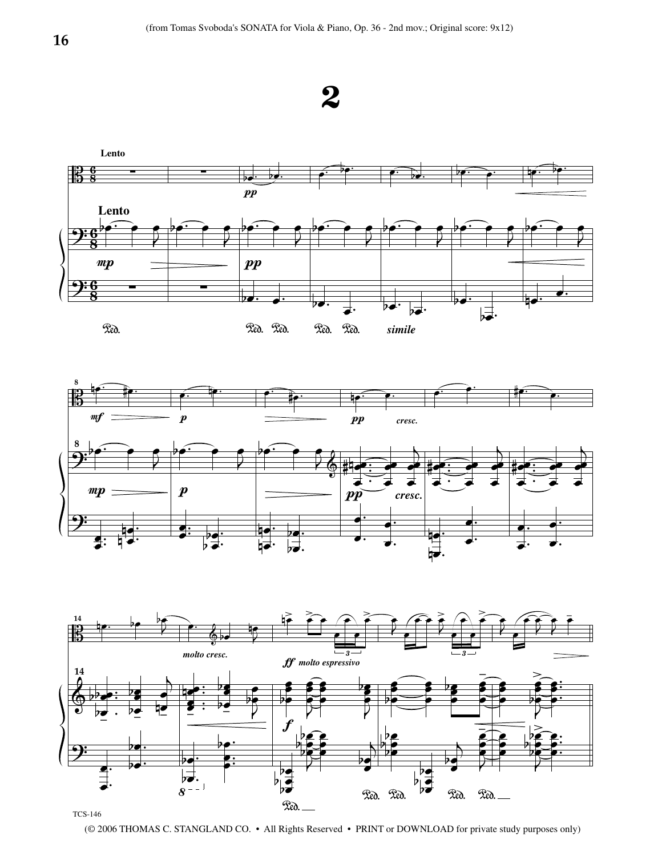







(© 2006 THOMAS C. STANGLAND CO. • All Rights Reserved • PRINT or DOWNLOAD for private study purposes only)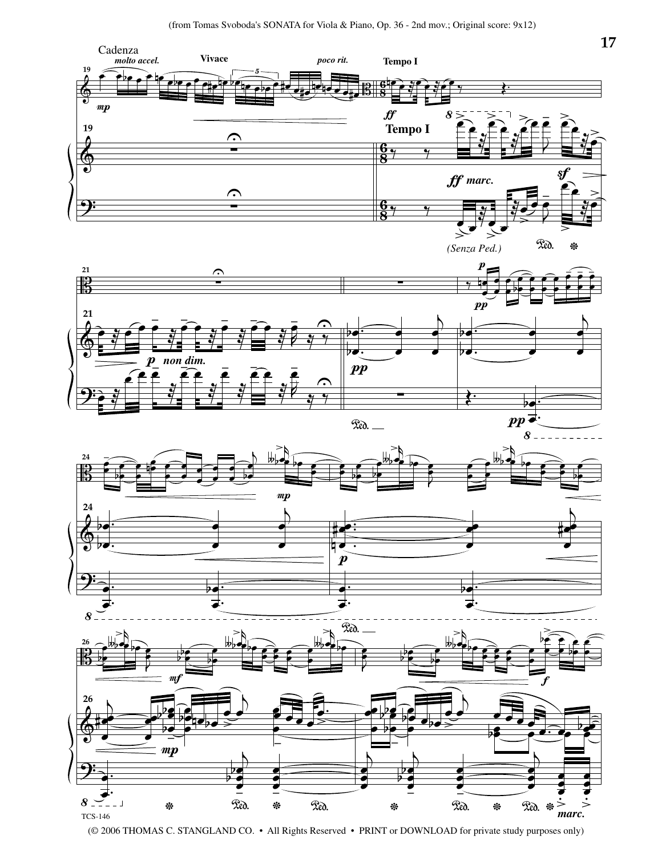

(© 2006 THOMAS C. STANGLAND CO. • All Rights Reserved • PRINT or DOWNLOAD for private study purposes only)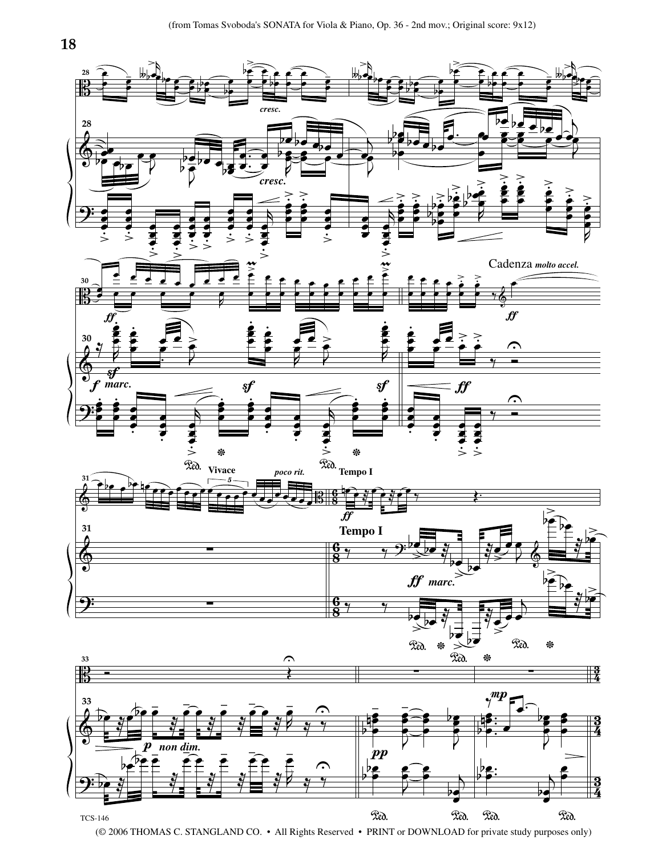



TCS-146 <br>(© 2006 THOMAS C. STANGLAND CO. • All Rights Reserved • PRINT or DOWNLOAD for private study purposes only)